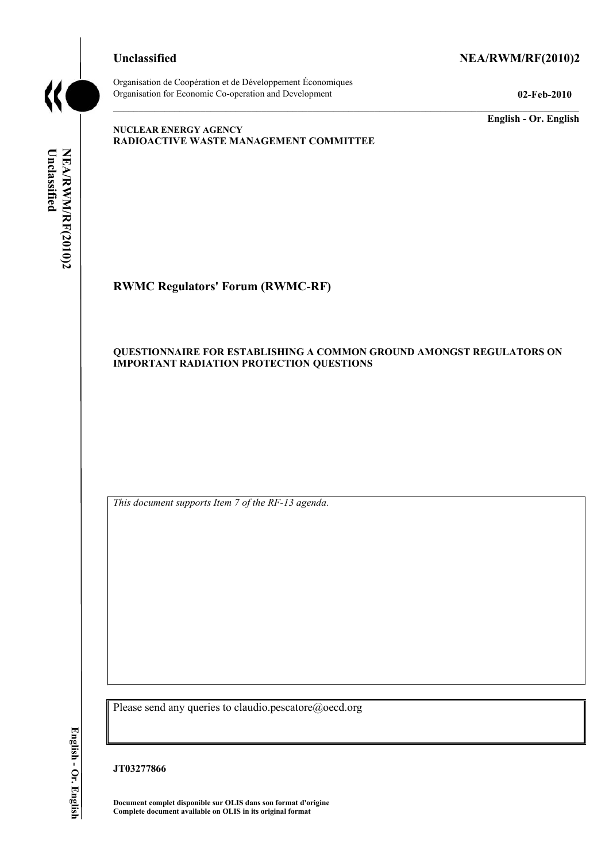

## Unclassified NEA/RWM/RF(2010)2

Organisation de Coopération et de Développement Économiques Organisation for Economic Co-operation and Development **02-Feb-2010** 

**English - Or. English** 

## **NUCLEAR ENERGY AGENCY RADIOACTIVE WASTE MANAGEMENT COMMITTEE**

Unclassified NEA/RWM/RF(2010)2 **Unclassified NEA/RWM/RF(2010)2 English - Or. English**

# **RWMC Regulators' Forum (RWMC-RF)**

## **QUESTIONNAIRE FOR ESTABLISHING A COMMON GROUND AMONGST REGULATORS ON IMPORTANT RADIATION PROTECTION QUESTIONS**

*This document supports Item 7 of the RF-13 agenda.* 

Please send any queries to claudio.pescatore@oecd.org

**JT03277866** 

**Document complet disponible sur OLIS dans son format d'origine Complete document available on OLIS in its original format**